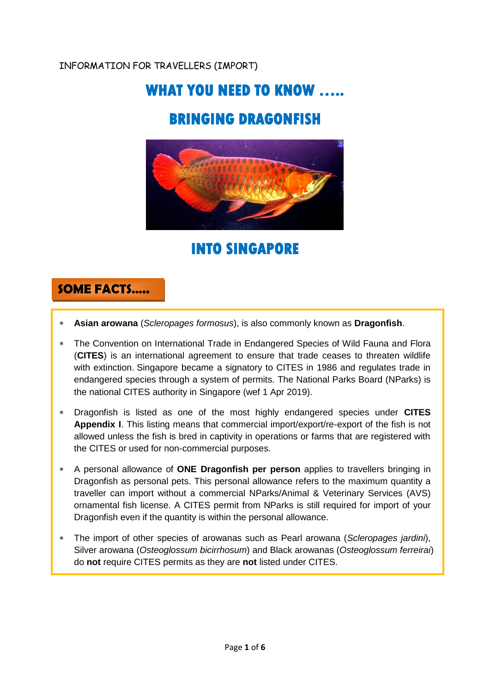### INFORMATION FOR TRAVELLERS (IMPORT)

# **WHAT YOU NEED TO KNOW …..**

# **BRINGING DRAGONFISH**



**INTO SINGAPORE** 

## **SOME FACTS…..**

- **Asian arowana** (*Scleropages formosus*), is also commonly known as **Dragonfish**.
- The Convention on International Trade in Endangered Species of Wild Fauna and Flora (**CITES**) is an international agreement to ensure that trade ceases to threaten wildlife with extinction. Singapore became a signatory to CITES in 1986 and regulates trade in endangered species through a system of permits. The National Parks Board (NParks) is the national CITES authority in Singapore (wef 1 Apr 2019).
- Dragonfish is listed as one of the most highly endangered species under **CITES Appendix I**. This listing means that commercial import/export/re-export of the fish is not allowed unless the fish is bred in captivity in operations or farms that are registered with the CITES or used for non-commercial purposes.
- A personal allowance of **ONE Dragonfish per person** applies to travellers bringing in Dragonfish as personal pets. This personal allowance refers to the maximum quantity a traveller can import without a commercial NParks/Animal & Veterinary Services (AVS) ornamental fish license. A CITES permit from NParks is still required for import of your Dragonfish even if the quantity is within the personal allowance.
- The import of other species of arowanas such as Pearl arowana (*Scleropages jardini*), Silver arowana (*Osteoglossum bicirrhosum*) and Black arowanas (*Osteoglossum ferreirai*) do **not** require CITES permits as they are **not** listed under CITES.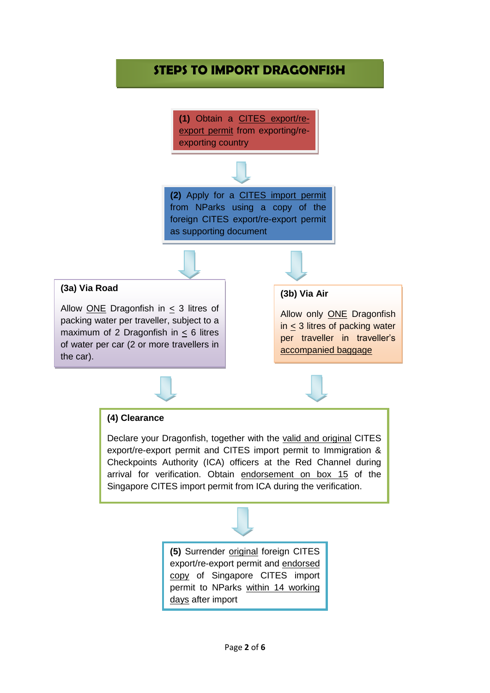## **STEPS TO IMPORT DRAGONFISH**

**(1)** Obtain a CITES export/reexport permit from exporting/reexporting country

**(2)** Apply for a CITES import permit from NParks using a copy of the foreign CITES export/re-export permit as supporting document

#### **(3a) Via Road**

Allow ONE Dragonfish in  $<$  3 litres of packing water per traveller, subject to a maximum of 2 Dragonfish in  $\leq$  6 litres of water per car (2 or more travellers in the car).

#### **(3b) Via Air**

Allow only ONE Dragonfish in  $\leq$  3 litres of packing water per traveller in traveller's accompanied baggage

#### **(4) Clearance**

Declare your Dragonfish, together with the valid and original CITES export/re-export permit and CITES import permit to Immigration & Checkpoints Authority (ICA) officers at the Red Channel during arrival for verification. Obtain endorsement on box 15 of the Singapore CITES import permit from ICA during the verification.

> **(5)** Surrender original foreign CITES export/re-export permit and endorsed copy of Singapore CITES import permit to NParks within 14 working days after import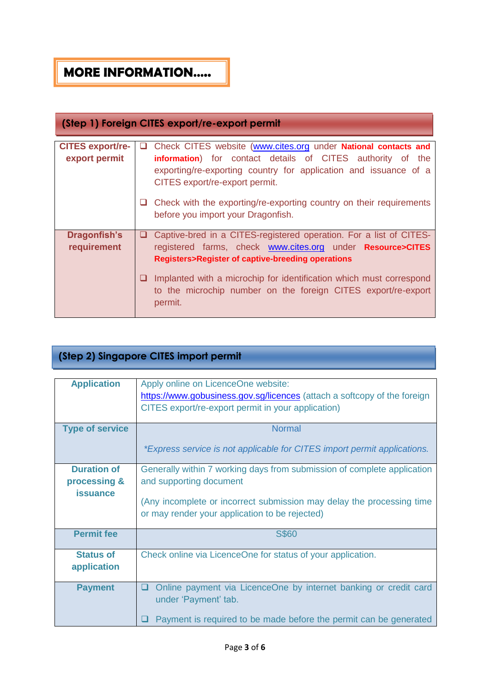## **MORE INFORMATION…..**

### **(Step 1) Foreign CITES export/re-export permit**

| <b>CITES export/re-</b> | ப  | Check CITES website (www.cites.org under National contacts and                                                                                  |
|-------------------------|----|-------------------------------------------------------------------------------------------------------------------------------------------------|
| export permit           |    | information) for contact details of CITES authority of the                                                                                      |
|                         |    | exporting/re-exporting country for application and issuance of a<br>CITES export/re-export permit.                                              |
|                         |    | Check with the exporting/re-exporting country on their requirements<br>before you import your Dragonfish.                                       |
| <b>Dragonfish's</b>     | u. | Captive-bred in a CITES-registered operation. For a list of CITES-                                                                              |
| requirement             |    | registered farms, check <b>www.cites.org</b> under <b>Resource&gt;CITES</b>                                                                     |
|                         |    |                                                                                                                                                 |
|                         |    | <b>Registers&gt;Register of captive-breeding operations</b>                                                                                     |
|                         |    | Implanted with a microchip for identification which must correspond<br>to the microchip number on the foreign CITES export/re-export<br>permit. |

### **(Step 2) Singapore CITES import permit**

| <b>Application</b>                 | Apply online on LicenceOne website:<br>https://www.gobusiness.gov.sg/licences (attach a softcopy of the foreign<br>CITES export/re-export permit in your application) |
|------------------------------------|-----------------------------------------------------------------------------------------------------------------------------------------------------------------------|
| <b>Type of service</b>             | <b>Normal</b>                                                                                                                                                         |
|                                    | *Express service is not applicable for CITES import permit applications.                                                                                              |
| <b>Duration of</b><br>processing & | Generally within 7 working days from submission of complete application<br>and supporting document                                                                    |
| <b>issuance</b>                    |                                                                                                                                                                       |
|                                    | (Any incomplete or incorrect submission may delay the processing time<br>or may render your application to be rejected)                                               |
| <b>Permit fee</b>                  | <b>S\$60</b>                                                                                                                                                          |
| <b>Status of</b>                   | Check online via LicenceOne for status of your application.                                                                                                           |
| application                        |                                                                                                                                                                       |
| <b>Payment</b>                     | Online payment via LicenceOne by internet banking or credit card<br>ப<br>under 'Payment' tab.                                                                         |
|                                    | Payment is required to be made before the permit can be generated                                                                                                     |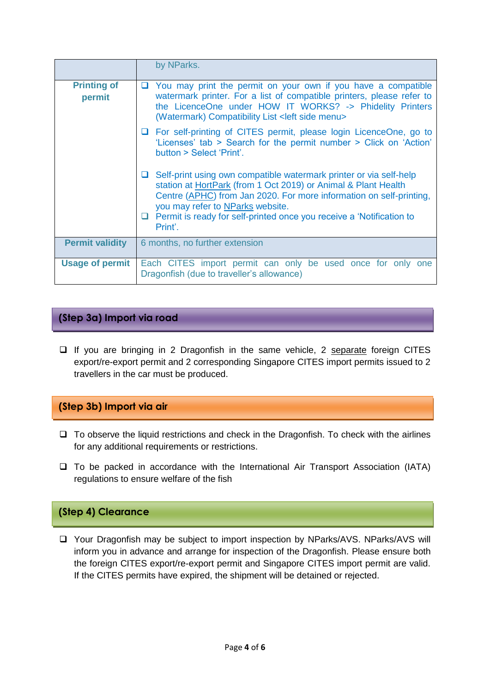|                              | by NParks.                                                                                                                                                                                                                                                                                                                                       |
|------------------------------|--------------------------------------------------------------------------------------------------------------------------------------------------------------------------------------------------------------------------------------------------------------------------------------------------------------------------------------------------|
| <b>Printing of</b><br>permit | You may print the permit on your own if you have a compatible<br>ப<br>watermark printer. For a list of compatible printers, please refer to<br>the LicenceOne under HOW IT WORKS? -> Phidelity Printers<br>(Watermark) Compatibility List < left side menu>                                                                                      |
|                              | □ For self-printing of CITES permit, please login LicenceOne, go to<br>'Licenses' tab > Search for the permit number > Click on 'Action'<br>button > Select 'Print'.                                                                                                                                                                             |
|                              | Self-print using own compatible watermark printer or via self-help<br>⊔ ⊦<br>station at HortPark (from 1 Oct 2019) or Animal & Plant Health<br>Centre (APHC) from Jan 2020. For more information on self-printing,<br>you may refer to NParks website.<br>$\Box$ Permit is ready for self-printed once you receive a 'Notification to<br>Print'. |
| <b>Permit validity</b>       | 6 months, no further extension                                                                                                                                                                                                                                                                                                                   |
| <b>Usage of permit</b>       | Each CITES import permit can only be used once for only one<br>Dragonfish (due to traveller's allowance)                                                                                                                                                                                                                                         |

#### **(Step 3a) Import via road**

 $\Box$  If you are bringing in 2 Dragonfish in the same vehicle, 2 separate foreign CITES export/re-export permit and 2 corresponding Singapore CITES import permits issued to 2 travellers in the car must be produced.

#### **(Step 3b) Import via air**

- $\Box$  To observe the liquid restrictions and check in the Dragonfish. To check with the airlines for any additional requirements or restrictions.
- $\square$  To be packed in accordance with the International Air Transport Association (IATA) regulations to ensure welfare of the fish

### **(Step 4) Clearance**

□ Your Dragonfish may be subject to import inspection by NParks/AVS. NParks/AVS will inform you in advance and arrange for inspection of the Dragonfish. Please ensure both the foreign CITES export/re-export permit and Singapore CITES import permit are valid. If the CITES permits have expired, the shipment will be detained or rejected.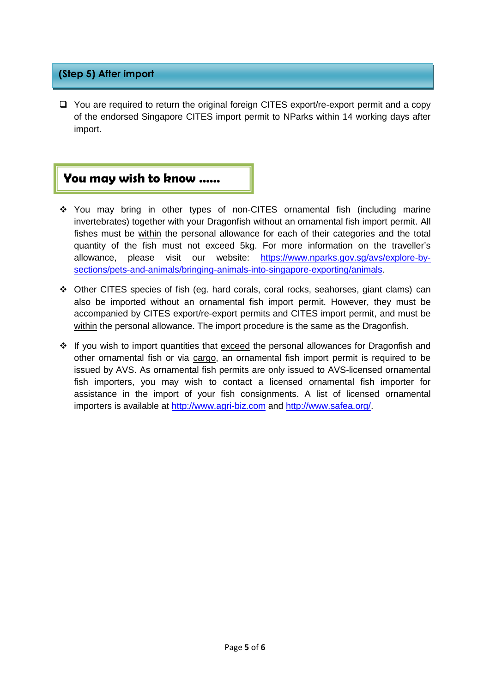#### **(Step 5) After import**

 $\Box$  You are required to return the original foreign CITES export/re-export permit and a copy of the endorsed Singapore CITES import permit to NParks within 14 working days after import.

## **You may wish to know ……**

- You may bring in other types of non-CITES ornamental fish (including marine invertebrates) together with your Dragonfish without an ornamental fish import permit. All fishes must be within the personal allowance for each of their categories and the total quantity of the fish must not exceed 5kg. For more information on the traveller's allowance, please visit our website: [https://www.nparks.gov.sg/avs/explore-by](https://www.nparks.gov.sg/avs/explore-by-sections/pets-and-animals/bringing-animals-into-singapore-exporting/animals)[sections/pets-and-animals/bringing-animals-into-singapore-exporting/animals.](https://www.nparks.gov.sg/avs/explore-by-sections/pets-and-animals/bringing-animals-into-singapore-exporting/animals)
- $\div$  Other CITES species of fish (eq. hard corals, coral rocks, seahorses, giant clams) can also be imported without an ornamental fish import permit. However, they must be accompanied by CITES export/re-export permits and CITES import permit, and must be within the personal allowance. The import procedure is the same as the Dragonfish.
- $\cdot \cdot$  If you wish to import quantities that exceed the personal allowances for Dragonfish and other ornamental fish or via cargo, an ornamental fish import permit is required to be issued by AVS. As ornamental fish permits are only issued to AVS-licensed ornamental fish importers, you may wish to contact a licensed ornamental fish importer for assistance in the import of your fish consignments. A list of licensed ornamental importers is available at [http://www.agri-biz.com](http://www.agri-biz.com/) and [http://www.safea.org/.](http://www.safea.org/)